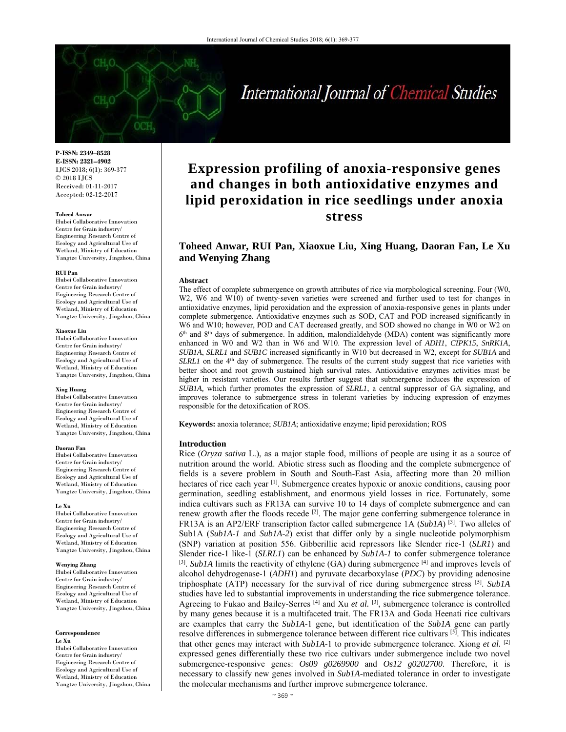# International Journal of Chemical Studies

**P-ISSN: 2349–8528 E-ISSN: 2321–4902**  IJCS 2018; 6(1): 369-377 © 2018 IJCS Received: 01-11-2017 Accepted: 02-12-2017

#### **Toheed Anwar**

Hubei Collaborative Innovation Centre for Grain industry/ Engineering Research Centre of Ecology and Agricultural Use of Wetland, Ministry of Education Yangtze University, Jingzhou, China

#### **RUI Pan**

Hubei Collaborative Innovation Centre for Grain industry/ Engineering Research Centre of Ecology and Agricultural Use of Wetland, Ministry of Education Yangtze University, Jingzhou, China

#### **Xiaoxue Liu**

Hubei Collaborative Innovation Centre for Grain industry/ Engineering Research Centre of Ecology and Agricultural Use of Wetland, Ministry of Education Yangtze University, Jingzhou, China

#### **Xing Huang**

Hubei Collaborative Innovation Centre for Grain industry/ Engineering Research Centre of Ecology and Agricultural Use of Wetland, Ministry of Education Yangtze University, Jingzhou, China

#### **Daoran Fan**

Hubei Collaborative Innovation Centre for Grain industry/ Engineering Research Centre of Ecology and Agricultural Use of Wetland, Ministry of Education Yangtze University, Jingzhou, China

#### **Le Xu**

Hubei Collaborative Innovation Centre for Grain industry/ Engineering Research Centre of Ecology and Agricultural Use of Wetland, Ministry of Education Yangtze University, Jingzhou, China

#### **Wenying Zhang**

Hubei Collaborative Innovation Centre for Grain industry/ Engineering Research Centre of Ecology and Agricultural Use of Wetland, Ministry of Education Yangtze University, Jingzhou, China

#### **Correspondence Le Xu**

Hubei Collaborative Innovation Centre for Grain industry/ Engineering Research Centre of Ecology and Agricultural Use of Wetland, Ministry of Education Yangtze University, Jingzhou, China

## **Expression profiling of anoxia-responsive genes and changes in both antioxidative enzymes and lipid peroxidation in rice seedlings under anoxia stress**

### **Toheed Anwar, RUI Pan, Xiaoxue Liu, Xing Huang, Daoran Fan, Le Xu and Wenying Zhang**

#### **Abstract**

The effect of complete submergence on growth attributes of rice via morphological screening. Four (W0, W2, W6 and W10) of twenty-seven varieties were screened and further used to test for changes in antioxidative enzymes, lipid peroxidation and the expression of anoxia-responsive genes in plants under complete submergence. Antioxidative enzymes such as SOD, CAT and POD increased significantly in W6 and W10; however, POD and CAT decreased greatly, and SOD showed no change in W0 or W2 on  $6<sup>th</sup>$  and  $8<sup>th</sup>$  days of submergence. In addition, malondialdehyde (MDA) content was significantly more enhanced in W0 and W2 than in W6 and W10. The expression level of *ADH1*, *CIPK15*, *SnRK1A*, *SUB1A*, *SLRL1* and *SUB1C* increased significantly in W10 but decreased in W2, except for *SUB1A* and *SLRL1* on the 4<sup>th</sup> day of submergence. The results of the current study suggest that rice varieties with better shoot and root growth sustained high survival rates. Antioxidative enzymes activities must be higher in resistant varieties. Our results further suggest that submergence induces the expression of *SUB1A,* which further promotes the expression of *SLRL1*, a central suppressor of GA signaling, and improves tolerance to submergence stress in tolerant varieties by inducing expression of enzymes responsible for the detoxification of ROS.

**Keywords:** anoxia tolerance; *SUB1A*; antioxidative enzyme; lipid peroxidation; ROS

#### **Introduction**

Rice (*Oryza sativa* L.), as a major staple food, millions of people are using it as a source of nutrition around the world. Abiotic stress such as flooding and the complete submergence of fields is a severe problem in South and South-East Asia, affecting more than 20 million hectares of rice each year <sup>[1]</sup>. Submergence creates hypoxic or anoxic conditions, causing poor germination, seedling establishment, and enormous yield losses in rice. Fortunately, some indica cultivars such as FR13A can survive 10 to 14 days of complete submergence and can renew growth after the floods recede <sup>[2]</sup>. The major gene conferring submergence tolerance in FR13A is an AP2/ERF transcription factor called submergence 1A (*Sub1A*) [3]. Two alleles of Sub1A (*Sub1A-1* and *Sub1A-2*) exist that differ only by a single nucleotide polymorphism (SNP) variation at position 556. Gibberillic acid repressors like Slender rice-1 (*SLR1*) and Slender rice-1 like-1 (*SLRL1*) can be enhanced by *Sub1A-1* to confer submergence tolerance  $^{[3]}$ . *Sub1A* limits the reactivity of ethylene (GA) during submergence  $^{[4]}$  and improves levels of alcohol dehydrogenase-1 (*ADH1*) and pyruvate decarboxylase (*PDC*) by providing adenosine triphosphate (ATP) necessary for the survival of rice during submergence stress [5]. *Sub1A* studies have led to substantial improvements in understanding the rice submergence tolerance. Agreeing to Fukao and Bailey-Serres<sup>[4]</sup> and Xu *et al.* <sup>[3]</sup>, submergence tolerance is controlled by many genes because it is a multifaceted trait. The FR13A and Goda Heenati rice cultivars are examples that carry the *Sub1A*-1 gene, but identification of the *Sub1A* gene can partly resolve differences in submergence tolerance between different rice cultivars <sup>[5]</sup>. This indicates that other genes may interact with *Sub1A*-1 to provide submergence tolerance. Xiong *et al.* [2] expressed genes differentially these two rice cultivars under submergence include two novel submergence-responsive genes: *Os09 g0269900* and *Os12 g0202700*. Therefore, it is necessary to classify new genes involved in *Sub1A*-mediated tolerance in order to investigate the molecular mechanisms and further improve submergence tolerance.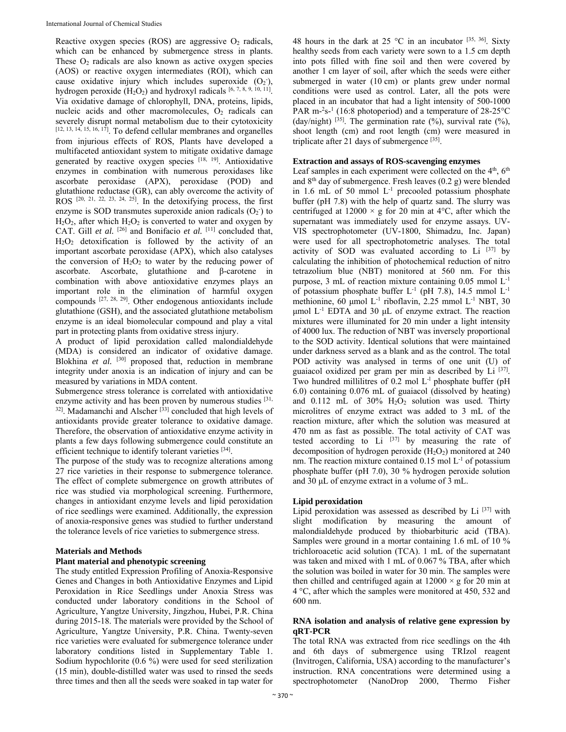Reactive oxygen species (ROS) are aggressive  $O_2$  radicals, which can be enhanced by submergence stress in plants. These  $O<sub>2</sub>$  radicals are also known as active oxygen species (AOS) or reactive oxygen intermediates (ROI), which can cause oxidative injury which includes superoxide  $(O_2)$ , hydrogen peroxide  $(H_2O_2)$  and hydroxyl radicals [6, 7, 8, 9, 10, 11]. Via oxidative damage of chlorophyll, DNA, proteins, lipids, nucleic acids and other macromolecules, O<sub>2</sub> radicals can severely disrupt normal metabolism due to their cytotoxicity  $[12, 13, 14, 15, 16, 17]$ . To defend cellular membranes and organelles from injurious effects of ROS, Plants have developed a multifaceted antioxidant system to mitigate oxidative damage generated by reactive oxygen species [18, 19]. Antioxidative enzymes in combination with numerous peroxidases like ascorbate peroxidase (APX), peroxidase (POD) and glutathione reductase (GR), can ably overcome the activity of ROS  $[20, 21, 22, 23, 24, 25]$ . In the detoxifying process, the first enzyme is SOD transmutes superoxide anion radicals  $(O_2)$  to  $H<sub>2</sub>O<sub>2</sub>$ , after which  $H<sub>2</sub>O<sub>2</sub>$  is converted to water and oxygen by CAT. Gill *et al.* <sup>[26]</sup> and Bonifacio *et al.* <sup>[11]</sup> concluded that,  $H<sub>2</sub>O<sub>2</sub>$  detoxification is followed by the activity of an important ascorbate peroxidase (APX), which also catalyses the conversion of  $H_2O_2$  to water by the reducing power of ascorbate. Ascorbate, glutathione and β-carotene in combination with above antioxidative enzymes plays an important role in the elimination of harmful oxygen compounds [27, 28, 29]. Other endogenous antioxidants include glutathione (GSH), and the associated glutathione metabolism enzyme is an ideal biomolecular compound and play a vital part in protecting plants from oxidative stress injury.

A product of lipid peroxidation called malondialdehyde (MDA) is considered an indicator of oxidative damage. Blokhina *et al.* <sup>[30]</sup> proposed that, reduction in membrane integrity under anoxia is an indication of injury and can be measured by variations in MDA content.

Submergence stress tolerance is correlated with antioxidative enzyme activity and has been proven by numerous studies [31,  $32$ ]. Madamanchi and Alscher  $\left[33\right]$  concluded that high levels of antioxidants provide greater tolerance to oxidative damage. Therefore, the observation of antioxidative enzyme activity in plants a few days following submergence could constitute an efficient technique to identify tolerant varieties [34].

The purpose of the study was to recognize alterations among 27 rice varieties in their response to submergence tolerance. The effect of complete submergence on growth attributes of rice was studied via morphological screening. Furthermore, changes in antioxidant enzyme levels and lipid peroxidation of rice seedlings were examined. Additionally, the expression of anoxia-responsive genes was studied to further understand the tolerance levels of rice varieties to submergence stress.

### **Materials and Methods**

### **Plant material and phenotypic screening**

The study entitled Expression Profiling of Anoxia-Responsive Genes and Changes in both Antioxidative Enzymes and Lipid Peroxidation in Rice Seedlings under Anoxia Stress was conducted under laboratory conditions in the School of Agriculture, Yangtze University, Jingzhou, Hubei, P.R. China during 2015-18. The materials were provided by the School of Agriculture, Yangtze University, P.R. China. Twenty-seven rice varieties were evaluated for submergence tolerance under laboratory conditions listed in Supplementary Table 1. Sodium hypochlorite (0.6 %) were used for seed sterilization (15 min), double-distilled water was used to rinsed the seeds three times and then all the seeds were soaked in tap water for

48 hours in the dark at 25 °C in an incubator  $[35, 36]$ . Sixty healthy seeds from each variety were sown to a 1.5 cm depth into pots filled with fine soil and then were covered by another 1 cm layer of soil, after which the seeds were either submerged in water (10 cm) or plants grew under normal conditions were used as control. Later, all the pots were placed in an incubator that had a light intensity of 500-1000 PAR m<sup>-2</sup>s<sup>-1</sup> (16:8 photoperiod) and a temperature of  $28-25^{\circ}$ C (day/night)  $[35]$ . The germination rate (%), survival rate (%), shoot length (cm) and root length (cm) were measured in triplicate after 21 days of submergence  $[35]$ .

### **Extraction and assays of ROS-scavenging enzymes**

Leaf samples in each experiment were collected on the  $4<sup>th</sup>$ ,  $6<sup>th</sup>$ and  $8<sup>th</sup>$  day of submergence. Fresh leaves (0.2 g) were blended in 1.6 mL of 50 mmol  $L^{-1}$  precooled potassium phosphate buffer (pH 7.8) with the help of quartz sand. The slurry was centrifuged at  $12000 \times g$  for 20 min at 4°C, after which the supernatant was immediately used for enzyme assays. UV-VIS spectrophotometer (UV-1800, Shimadzu, Inc. Japan) were used for all spectrophotometric analyses. The total activity of SOD was evaluated according to Li  $[37]$  by calculating the inhibition of photochemical reduction of nitro tetrazolium blue (NBT) monitored at 560 nm. For this purpose, 3 mL of reaction mixture containing 0.05 mmol L-1 of potassium phosphate buffer  $L^{-1}$  (pH 7.8), 14.5 mmol  $L^{-1}$ methionine, 60 μmol L<sup>-1</sup> riboflavin, 2.25 mmol L<sup>-1</sup> NBT, 30 μmol  $L<sup>-1</sup>$  EDTA and 30 μL of enzyme extract. The reaction mixtures were illuminated for 20 min under a light intensity of 4000 lux. The reduction of NBT was inversely proportional to the SOD activity. Identical solutions that were maintained under darkness served as a blank and as the control. The total POD activity was analysed in terms of one unit (U) of guaiacol oxidized per gram per min as described by Li [37]. Two hundred millilitres of 0.2 mol L<sup>-1</sup> phosphate buffer (pH 6.0) containing 0.076 mL of guaiacol (dissolved by heating) and  $0.112$  mL of  $30\%$  H<sub>2</sub>O<sub>2</sub> solution was used. Thirty microlitres of enzyme extract was added to 3 mL of the reaction mixture, after which the solution was measured at 470 nm as fast as possible. The total activity of CAT was tested according to Li  $[37]$  by measuring the rate of decomposition of hydrogen peroxide  $(H_2O_2)$  monitored at 240 nm. The reaction mixture contained  $0.15$  mol  $L^{-1}$  of potassium phosphate buffer (pH 7.0), 30 % hydrogen peroxide solution and 30 μL of enzyme extract in a volume of 3 mL.

### **Lipid peroxidation**

Lipid peroxidation was assessed as described by  $Li$   $[37]$  with slight modification by measuring the amount of malondialdehyde produced by thiobarbituric acid (TBA). Samples were ground in a mortar containing 1.6 mL of 10 % trichloroacetic acid solution (TCA). 1 mL of the supernatant was taken and mixed with 1 mL of 0.067 % TBA, after which the solution was boiled in water for 30 min. The samples were then chilled and centrifuged again at  $12000 \times g$  for 20 min at 4 °C, after which the samples were monitored at 450, 532 and 600 nm.

### **RNA isolation and analysis of relative gene expression by qRT-PCR**

The total RNA was extracted from rice seedlings on the 4th and 6th days of submergence using TRIzol reagent (Invitrogen, California, USA) according to the manufacturer's instruction. RNA concentrations were determined using a spectrophotometer (NanoDrop 2000, Thermo Fisher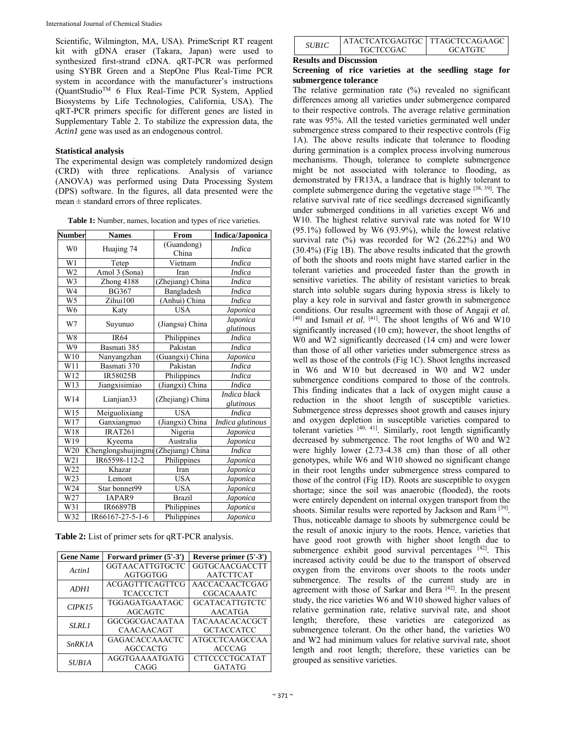Scientific, Wilmington, MA, USA). PrimeScript RT reagent kit with gDNA eraser (Takara, Japan) were used to synthesized first-strand cDNA. qRT-PCR was performed using SYBR Green and a StepOne Plus Real-Time PCR system in accordance with the manufacturer's instructions (QuantStudioTM 6 Flux Real-Time PCR System, Applied Biosystems by Life Technologies, California, USA). The qRT-PCR primers specific for different genes are listed in Supplementary Table 2. To stabilize the expression data, the *Actin1* gene was used as an endogenous control.

### **Statistical analysis**

The experimental design was completely randomized design (CRD) with three replications. Analysis of variance (ANOVA) was performed using Data Processing System (DPS) software. In the figures, all data presented were the mean ± standard errors of three replicates.

| <b>Table 1:</b> Number, names, location and types of rice varieties. |  |  |  |
|----------------------------------------------------------------------|--|--|--|
|                                                                      |  |  |  |

| <b>Number</b>   | <b>Names</b>                         | From                | <b>Indica/Japonica</b>    |
|-----------------|--------------------------------------|---------------------|---------------------------|
| W <sub>0</sub>  | Huajing 74                           | (Guandong)<br>China | <i>Indica</i>             |
| W1              | Tetep                                | Vietnam             | <b>Indica</b>             |
| $\overline{W2}$ | Amol 3 (Sona)                        | Iran                | <b>Indica</b>             |
| W3              | Zhong 4188                           | (Zhejiang) China    | <b>Indica</b>             |
| W <sub>4</sub>  | <b>BG367</b>                         | Bangladesh          | <b>Indica</b>             |
| W <sub>5</sub>  | Zihui100                             | (Anhui) China       | <b>Indica</b>             |
| $W\overline{6}$ | Katy                                 | <b>USA</b>          | Japonica                  |
| W7              | Suyunuo                              | (Jiangsu) China     | Japonica<br>glutinous     |
| W <sub>8</sub>  | <b>IR64</b>                          | Philippines         | <b>Indica</b>             |
| W <sub>9</sub>  | Basmati 385                          | Pakistan            | <b>Indica</b>             |
| W10             | Nanyangzhan                          | (Guangxi) China     | Japonica                  |
| W11             | Basmati 370                          | Pakistan            | <b>Indica</b>             |
| W12             | IR58025B                             | Philippines         | <i>Indica</i>             |
| W13             | Jiangxisimiao                        | (Jiangxi) China     | <i>Indica</i>             |
| W14             | Lianjian33                           | (Zhejiang) China    | Indica black<br>glutinous |
| W15             | Meiguolixiang                        | <b>USA</b>          | <i>Indica</i>             |
| W17             | Ganxiangnuo                          | (Jiangxi) China     | Indica glutinous          |
| W18             | IRAT261                              | Nigeria             | Japonica                  |
| W19             | Kyeema                               | Australia           | Japonica                  |
| W20             | Chenglongshuijingmi (Zhejiang) China |                     | <b>Indica</b>             |
| W21             | IR65598-112-2                        | Philippines         | Japonica                  |
| W22             | Khazar                               | Iran                | Japonica                  |
| W23             | Lemont                               | <b>USA</b>          | Japonica                  |
| W24             | Star bonnet99                        | <b>USA</b>          | Japonica                  |
| W27             | IAPAR9                               | <b>Brazil</b>       | Japonica                  |
| W31             | <b>IR66897B</b>                      | Philippines         | Japonica                  |
| W32             | IR66167-27-5-1-6                     | Philippines         | Japonica                  |

**Table 2:** List of primer sets for qRT-PCR analysis.

| <b>Gene Name</b> | Forward primer (5'-3') | Reverse primer $(5'-3')$ |  |
|------------------|------------------------|--------------------------|--|
| Actin1           | <b>GGTAACATTGTGCTC</b> | <b>GGTGCAACGACCTT</b>    |  |
|                  | AGTGGTGG               | <b>AATCTTCAT</b>         |  |
| ADHI             | <b>ACGAGTTTCAGTTCG</b> | AACCACAACTCGAG           |  |
|                  | <b>TCACCCTCT</b>       | <b>CGCACAAATC</b>        |  |
| CIPK15           | <b>TGGAGATGAATAGC</b>  | <b>GCATACATTGTCTC</b>    |  |
|                  | AGCAGTC                | AACATGA                  |  |
| <b>SLRL1</b>     | GGCGGCGACAATAA         | <b>TACAAACACACGCT</b>    |  |
|                  | CAACAACAGT             | <b>GCTACCATCC</b>        |  |
| SnRK1A           | <b>GAGACACCAAACTC</b>  | <b>ATGCCTCAAGCCAA</b>    |  |
|                  | <b>AGCCACTG</b>        | <b>ACCCAG</b>            |  |
| <b>SUB1A</b>     | AGGTGAAAATGATG         | <b>CTTCCCCTGCATAT</b>    |  |
|                  | CAGG                   | <b>GATATG</b>            |  |

| <i>SUBIC</i> | ATACTCATCGAGTGC   TTAGCTCCAGAAGC |                |
|--------------|----------------------------------|----------------|
|              | TGCTCCGAC                        | <b>GCATGTC</b> |

### **Results and Discussion**

### **Screening of rice varieties at the seedling stage for submergence tolerance**

The relative germination rate  $(\%)$  revealed no significant differences among all varieties under submergence compared to their respective controls. The average relative germination rate was 95%. All the tested varieties germinated well under submergence stress compared to their respective controls (Fig 1A). The above results indicate that tolerance to flooding during germination is a complex process involving numerous mechanisms. Though, tolerance to complete submergence might be not associated with tolerance to flooding, as demonstrated by FR13A, a landrace that is highly tolerant to complete submergence during the vegetative stage [38, 39]. The relative survival rate of rice seedlings decreased significantly under submerged conditions in all varieties except W6 and W10. The highest relative survival rate was noted for W10 (95.1%) followed by W6 (93.9%), while the lowest relative survival rate  $(\%)$  was recorded for W2 (26.22%) and W0 (30.4%) (Fig 1B). The above results indicated that the growth of both the shoots and roots might have started earlier in the tolerant varieties and proceeded faster than the growth in sensitive varieties. The ability of resistant varieties to break starch into soluble sugars during hypoxia stress is likely to play a key role in survival and faster growth in submergence conditions. Our results agreement with those of Angaji *et al.*  $[40]$  and Ismail *et al.*  $[41]$ . The shoot lengths of W6 and W10 significantly increased (10 cm); however, the shoot lengths of W0 and W2 significantly decreased (14 cm) and were lower than those of all other varieties under submergence stress as well as those of the controls (Fig 1C). Shoot lengths increased in W6 and W10 but decreased in W0 and W2 under submergence conditions compared to those of the controls. This finding indicates that a lack of oxygen might cause a reduction in the shoot length of susceptible varieties. Submergence stress depresses shoot growth and causes injury and oxygen depletion in susceptible varieties compared to tolerant varieties [40, 41]. Similarly, root length significantly decreased by submergence. The root lengths of W0 and W2 were highly lower (2.73-4.38 cm) than those of all other genotypes, while W6 and W10 showed no significant change in their root lengths under submergence stress compared to those of the control (Fig 1D). Roots are susceptible to oxygen shortage; since the soil was anaerobic (flooded), the roots were entirely dependent on internal oxygen transport from the shoots. Similar results were reported by Jackson and Ram <sup>[39]</sup>. Thus, noticeable damage to shoots by submergence could be the result of anoxic injury to the roots. Hence, varieties that have good root growth with higher shoot length due to submergence exhibit good survival percentages [42]. This increased activity could be due to the transport of observed oxygen from the environs over shoots to the roots under submergence. The results of the current study are in agreement with those of Sarkar and Bera [42]. In the present study, the rice varieties W6 and W10 showed higher values of relative germination rate, relative survival rate, and shoot length; therefore, these varieties are categorized as submergence tolerant. On the other hand, the varieties W0 and W2 had minimum values for relative survival rate, shoot length and root length; therefore, these varieties can be grouped as sensitive varieties.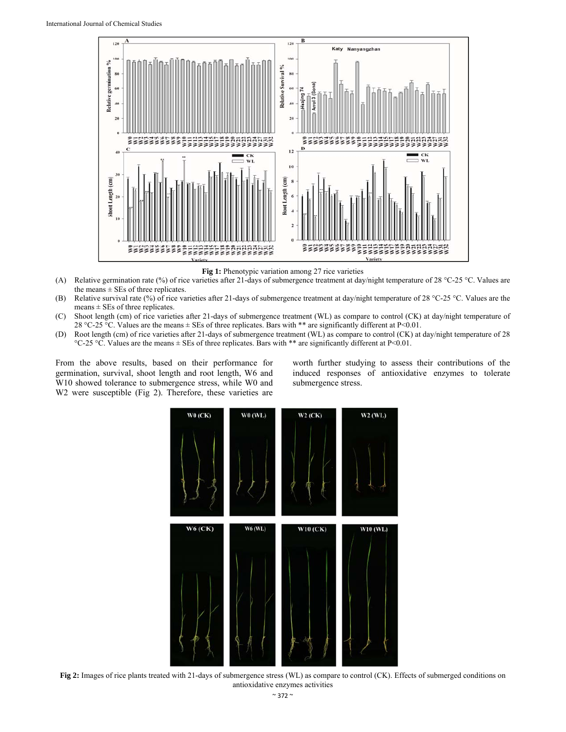

Fig 1: Phenotypic variation among 27 rice varieties

- (A) Relative germination rate (%) of rice varieties after 21-days of submergence treatment at day/night temperature of 28 °C-25 °C. Values are the means  $\pm$  SEs of three replicates.
- (B) Relative survival rate (%) of rice varieties after 21-days of submergence treatment at day/night temperature of 28 °C-25 °C. Values are the means  $\pm$  SEs of three replicates.
- (C) Shoot length (cm) of rice varieties after 21-days of submergence treatment (WL) as compare to control (CK) at day/night temperature of 28 °C-25 °C. Values are the means  $\pm$  SEs of three replicates. Bars with \*\* are significantly different at P<0.01.
- (D) Root length (cm) of rice varieties after 21-days of submergence treatment (WL) as compare to control (CK) at day/night temperature of 28 °C-25 °C. Values are the means ± SEs of three replicates. Bars with \*\* are significantly different at P<0.01.

From the above results, based on their performance for germination, survival, shoot length and root length, W6 and W<sub>10</sub> showed tolerance to submergence stress, while W<sub>0</sub> and W<sub>2</sub> were susceptible (Fig 2). Therefore, these varieties are

worth further studying to assess their contributions of the induced responses of antioxidative enzymes to tolerate submergence stress.



**Fig 2:** Images of rice plants treated with 21-days of submergence stress (WL) as compare to control (CK). Effects of submerged conditions on antioxidative enzymes activities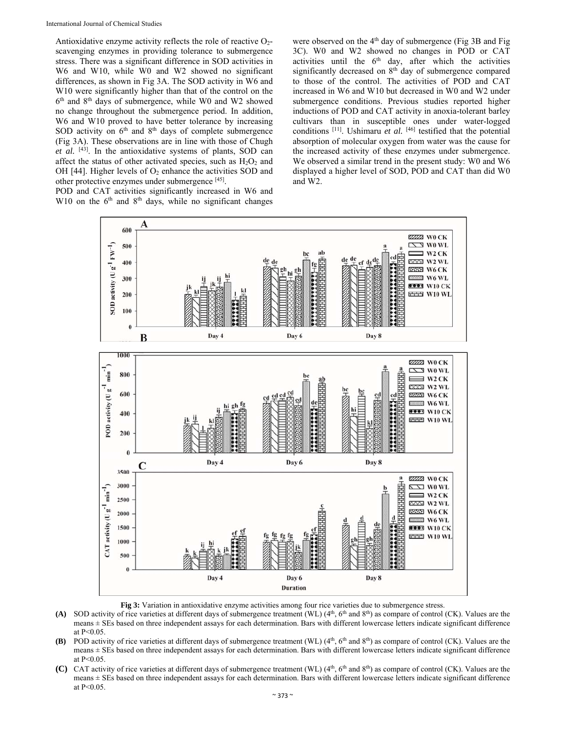Antioxidative enzyme activity reflects the role of reactive  $O<sub>2</sub>$ scavenging enzymes in providing tolerance to submergence stress. There was a significant difference in SOD activities in W6 and W10, while W0 and W2 showed no significant differences, as shown in Fig 3A. The SOD activity in W6 and W10 were significantly higher than that of the control on the 6th and 8th days of submergence, while W0 and W2 showed no change throughout the submergence period. In addition, W6 and W10 proved to have better tolerance by increasing SOD activity on  $6<sup>th</sup>$  and  $8<sup>th</sup>$  days of complete submergence (Fig 3A). These observations are in line with those of Chugh *et al.* [43]. In the antioxidative systems of plants, SOD can affect the status of other activated species, such as  $H_2O_2$  and OH [44]. Higher levels of  $O_2$  enhance the activities SOD and other protective enzymes under submergence [45].

POD and CAT activities significantly increased in W6 and W10 on the  $6<sup>th</sup>$  and  $8<sup>th</sup>$  days, while no significant changes were observed on the 4<sup>th</sup> day of submergence (Fig 3B and Fig 3C). W0 and W2 showed no changes in POD or CAT activities until the  $6<sup>th</sup>$  day, after which the activities significantly decreased on 8<sup>th</sup> day of submergence compared to those of the control. The activities of POD and CAT increased in W6 and W10 but decreased in W0 and W2 under submergence conditions. Previous studies reported higher inductions of POD and CAT activity in anoxia-tolerant barley cultivars than in susceptible ones under water-logged conditions  $[11]$ . Ushimaru *et al.*  $[46]$  testified that the potential absorption of molecular oxygen from water was the cause for the increased activity of these enzymes under submergence. We observed a similar trend in the present study: W0 and W6 displayed a higher level of SOD, POD and CAT than did W0 and W2.



**Fig 3:** Variation in antioxidative enzyme activities among four rice varieties due to submergence stress.

- (A) SOD activity of rice varieties at different days of submergence treatment (WL) (4<sup>th</sup>, 6<sup>th</sup> and 8<sup>th</sup>) as compare of control (CK). Values are the means ± SEs based on three independent assays for each determination. Bars with different lowercase letters indicate significant difference at P<0.05.
- **(B)** POD activity of rice varieties at different days of submergence treatment (WL) (4<sup>th</sup>, 6<sup>th</sup> and 8<sup>th</sup>) as compare of control (CK). Values are the means ± SEs based on three independent assays for each determination. Bars with different lowercase letters indicate significant difference at P<0.05.
- **(C)** CAT activity of rice varieties at different days of submergence treatment (WL) (4<sup>th</sup>, 6<sup>th</sup> and 8<sup>th</sup>) as compare of control (CK). Values are the means ± SEs based on three independent assays for each determination. Bars with different lowercase letters indicate significant difference at P<0.05.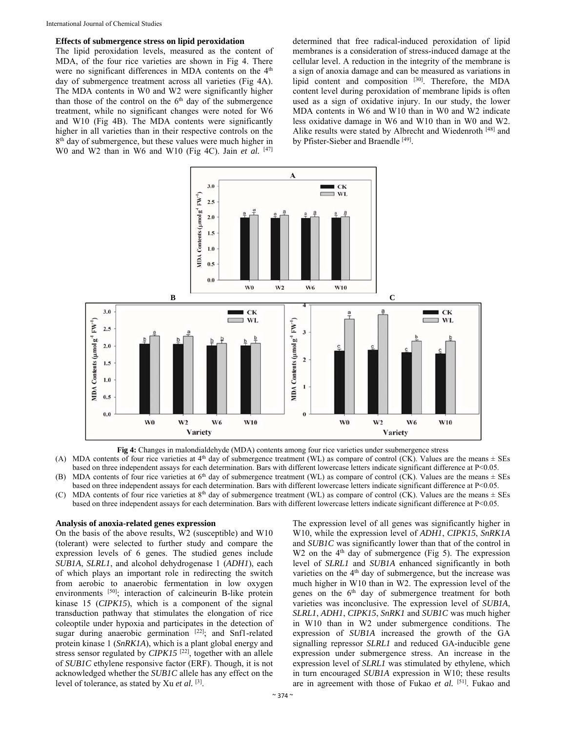### **Effects of submergence stress on lipid peroxidation**

The lipid peroxidation levels, measured as the content of MDA, of the four rice varieties are shown in Fig 4. There were no significant differences in MDA contents on the  $4<sup>th</sup>$ day of submergence treatment across all varieties (Fig 4A). The MDA contents in W0 and W2 were significantly higher than those of the control on the 6<sup>th</sup> day of the submergence treatment, while no significant changes were noted for W6 and W10 (Fig 4B). The MDA contents were significantly higher in all varieties than in their respective controls on the 8<sup>th</sup> day of submergence, but these values were much higher in W0 and W2 than in W6 and W10 (Fig 4C). Jain *et al.*  $[47]$ 

determined that free radical-induced peroxidation of lipid membranes is a consideration of stress-induced damage at the cellular level. A reduction in the integrity of the membrane is a sign of anoxia damage and can be measured as variations in lipid content and composition [30]. Therefore, the MDA content level during peroxidation of membrane lipids is often used as a sign of oxidative injury. In our study, the lower MDA contents in W6 and W10 than in W0 and W2 indicate less oxidative damage in W6 and W10 than in W0 and W2. Alike results were stated by Albrecht and Wiedenroth [48] and by Pfister-Sieber and Braendle [49].





(A) MDA contents of four rice varieties at  $4<sup>th</sup>$  day of submergence treatment (WL) as compare of control (CK). Values are the means  $\pm$  SEs based on three independent assays for each determination. Bars with different lowercase letters indicate significant difference at P<0.05.

(B) MDA contents of four rice varieties at 6th day of submergence treatment (WL) as compare of control (CK). Values are the means ± SEs based on three independent assays for each determination. Bars with different lowercase letters indicate significant difference at P<0.05.

(C) MDA contents of four rice varieties at  $8<sup>th</sup>$  day of submergence treatment (WL) as compare of control (CK). Values are the means  $\pm$  SEs based on three independent assays for each determination. Bars with different lowercase letters indicate significant difference at P<0.05.

#### **Analysis of anoxia-related genes expression**

On the basis of the above results, W2 (susceptible) and W10 (tolerant) were selected to further study and compare the expression levels of 6 genes. The studied genes include *SUB1A*, *SLRL1*, and alcohol dehydrogenase 1 (*ADH1*), each of which plays an important role in redirecting the switch from aerobic to anaerobic fermentation in low oxygen environments [50]; interaction of calcineurin B-like protein kinase 15 (*CIPK15*), which is a component of the signal transduction pathway that stimulates the elongation of rice coleoptile under hypoxia and participates in the detection of sugar during anaerobic germination [22]; and Snf1-related protein kinase 1 (*SnRK1A*), which is a plant global energy and stress sensor regulated by *CIPK15*<sup>[22]</sup>, together with an allele of *SUB1C* ethylene responsive factor (ERF). Though, it is not acknowledged whether the *SUB1C* allele has any effect on the level of tolerance, as stated by Xu *et al.* [3].

The expression level of all genes was significantly higher in W10, while the expression level of *ADH1*, *CIPK15*, *SnRK1A* and *SUB1C* was significantly lower than that of the control in W2 on the  $4<sup>th</sup>$  day of submergence (Fig 5). The expression level of *SLRL1* and *SUB1A* enhanced significantly in both varieties on the 4<sup>th</sup> day of submergence, but the increase was much higher in W10 than in W2. The expression level of the genes on the 6<sup>th</sup> day of submergence treatment for both varieties was inconclusive. The expression level of *SUB1A*, *SLRL1*, *ADH1*, *CIPK15*, *SnRK1* and *SUB1C* was much higher in W10 than in W2 under submergence conditions. The expression of *SUB1A* increased the growth of the GA signalling repressor *SLRL1* and reduced GA-inducible gene expression under submergence stress. An increase in the expression level of *SLRL1* was stimulated by ethylene, which in turn encouraged *SUB1A* expression in W10; these results are in agreement with those of Fukao *et al.* [51]. Fukao and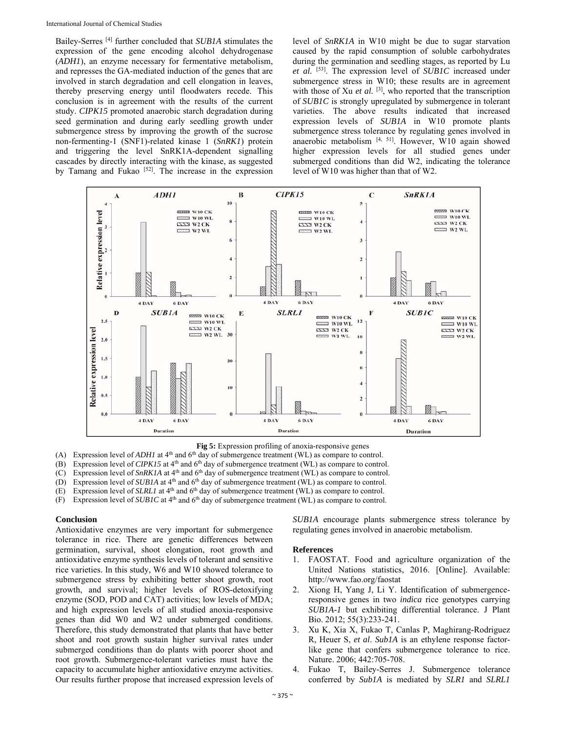Bailey-Serres [4] further concluded that *SUB1A* stimulates the expression of the gene encoding alcohol dehydrogenase (*ADH1*), an enzyme necessary for fermentative metabolism, and represses the GA-mediated induction of the genes that are involved in starch degradation and cell elongation in leaves, thereby preserving energy until floodwaters recede. This conclusion is in agreement with the results of the current study. *CIPK15* promoted anaerobic starch degradation during seed germination and during early seedling growth under submergence stress by improving the growth of the sucrose non-fermenting-1 (SNF1)-related kinase 1 (*SnRK1*) protein and triggering the level SnRK1A-dependent signalling cascades by directly interacting with the kinase, as suggested by Tamang and Fukao  $[52]$ . The increase in the expression

level of *SnRK1A* in W10 might be due to sugar starvation caused by the rapid consumption of soluble carbohydrates during the germination and seedling stages, as reported by Lu *et al.* [53]. The expression level of *SUB1C* increased under submergence stress in W10; these results are in agreement with those of Xu *et al.* <sup>[3]</sup>, who reported that the transcription of *SUB1C* is strongly upregulated by submergence in tolerant varieties. The above results indicated that increased expression levels of *SUB1A* in W10 promote plants submergence stress tolerance by regulating genes involved in anaerobic metabolism  $[4, 51]$ . However, W10 again showed higher expression levels for all studied genes under submerged conditions than did W2, indicating the tolerance level of W10 was higher than that of W2.



**Fig 5:** Expression profiling of anoxia-responsive genes

(A) Expression level of *ADH1* at 4<sup>th</sup> and 6<sup>th</sup> day of submergence treatment (WL) as compare to control.

(B) Expression level of *CIPK15* at 4<sup>th</sup> and 6<sup>th</sup> day of submergence treatment (WL) as compare to control.

(C) Expression level of *SnRK1A* at 4th and 6th day of submergence treatment (WL) as compare to control.

(D) Expression level of *SUB1A* at 4th and 6th day of submergence treatment (WL) as compare to control. (E) Expression level of *SLRL1* at  $4<sup>th</sup>$  and  $6<sup>th</sup>$  day of submergence treatment (WL) as compare to control.

(F) Expression level of *SUB1C* at 4th and 6th day of submergence treatment (WL) as compare to control.

### **Conclusion**

Antioxidative enzymes are very important for submergence tolerance in rice. There are genetic differences between germination, survival, shoot elongation, root growth and antioxidative enzyme synthesis levels of tolerant and sensitive rice varieties. In this study, W6 and W10 showed tolerance to submergence stress by exhibiting better shoot growth, root growth, and survival; higher levels of ROS-detoxifying enzyme (SOD, POD and CAT) activities; low levels of MDA; and high expression levels of all studied anoxia-responsive genes than did W0 and W2 under submerged conditions. Therefore, this study demonstrated that plants that have better shoot and root growth sustain higher survival rates under submerged conditions than do plants with poorer shoot and root growth. Submergence-tolerant varieties must have the capacity to accumulate higher antioxidative enzyme activities. Our results further propose that increased expression levels of

*SUB1A* encourage plants submergence stress tolerance by regulating genes involved in anaerobic metabolism.

#### **References**

- 1. FAOSTAT. Food and agriculture organization of the United Nations statistics, 2016. [Online]. Available: http://www.fao.org/faostat
- 2. Xiong H, Yang J, Li Y. Identification of submergenceresponsive genes in two *indica* rice genotypes carrying *SUB1A-1* but exhibiting differential tolerance. J Plant Bio. 2012; 55(3):233-241.
- 3. Xu K, Xia X, Fukao T, Canlas P, Maghirang-Rodriguez R, Heuer S, *et al*. *Sub1A* is an ethylene response factorlike gene that confers submergence tolerance to rice. Nature. 2006; 442:705-708.
- 4. Fukao T, Bailey-Serres J. Submergence tolerance conferred by *Sub1A* is mediated by *SLR1* and *SLRL1*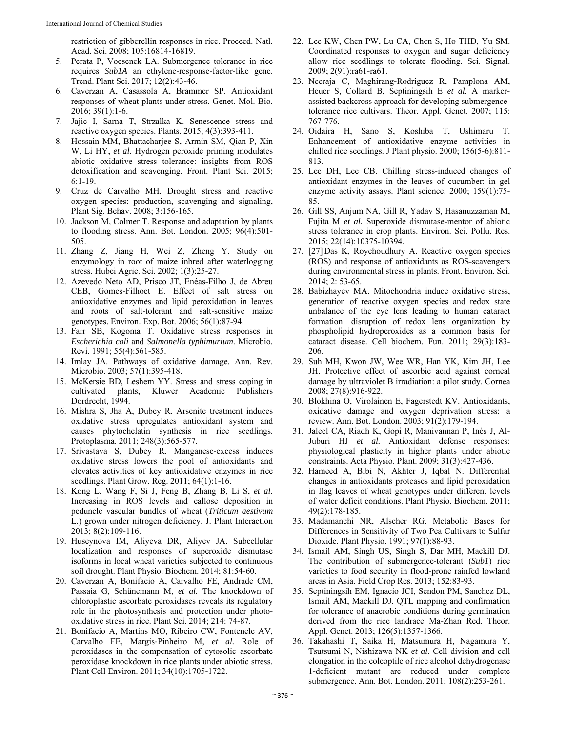restriction of gibberellin responses in rice. Proceed. Natl. Acad. Sci. 2008; 105:16814-16819.

- 5. Perata P, Voesenek LA. Submergence tolerance in rice requires *Sub1A* an ethylene-response-factor-like gene. Trend. Plant Sci. 2017; 12(2):43-46.
- 6. Caverzan A, Casassola A, Brammer SP. Antioxidant responses of wheat plants under stress. Genet. Mol. Bio. 2016; 39(1):1-6.
- 7. Jajic I, Sarna T, Strzalka K. Senescence stress and reactive oxygen species. Plants. 2015; 4(3):393-411.
- 8. Hossain MM, Bhattacharjee S, Armin SM, Qian P, Xin W, Li HY, et al. Hydrogen peroxide priming modulates abiotic oxidative stress tolerance: insights from ROS detoxification and scavenging. Front. Plant Sci. 2015; 6:1-19.
- 9. Cruz de Carvalho MH. Drought stress and reactive oxygen species: production, scavenging and signaling, Plant Sig. Behav. 2008; 3:156-165.
- 10. Jackson M, Colmer T. Response and adaptation by plants to flooding stress. Ann. Bot. London. 2005; 96(4):501- 505.
- 11. Zhang Z, Jiang H, Wei Z, Zheng Y. Study on enzymology in root of maize inbred after waterlogging stress. Hubei Agric. Sci. 2002; 1(3):25-27.
- 12. Azevedo Neto AD, Prisco JT, Enéas-Filho J, de Abreu CEB, Gomes-Filhoet E. Effect of salt stress on antioxidative enzymes and lipid peroxidation in leaves and roots of salt-tolerant and salt-sensitive maize genotypes. Environ. Exp. Bot. 2006; 56(1):87-94.
- 13. Farr SB, Kogoma T. Oxidative stress responses in *Escherichia coli* and *Salmonella typhimurium*. Microbio. Revi. 1991; 55(4):561-585.
- 14. Imlay JA. Pathways of oxidative damage. Ann. Rev. Microbio. 2003; 57(1):395-418.
- 15. McKersie BD, Leshem YY. Stress and stress coping in cultivated plants, Kluwer Academic Publishers Dordrecht, 1994.
- 16. Mishra S, Jha A, Dubey R. Arsenite treatment induces oxidative stress upregulates antioxidant system and causes phytochelatin synthesis in rice seedlings. Protoplasma. 2011; 248(3):565-577.
- 17. Srivastava S, Dubey R. Manganese-excess induces oxidative stress lowers the pool of antioxidants and elevates activities of key antioxidative enzymes in rice seedlings. Plant Grow. Reg. 2011; 64(1):1-16.
- 18. Kong L, Wang F, Si J, Feng B, Zhang B, Li S, *et al.* Increasing in ROS levels and callose deposition in peduncle vascular bundles of wheat (*Triticum aestivum* L.) grown under nitrogen deficiency. J. Plant Interaction 2013; 8(2):109-116.
- 19. Huseynova IM, Aliyeva DR, Aliyev JA. Subcellular localization and responses of superoxide dismutase isoforms in local wheat varieties subjected to continuous soil drought. Plant Physio. Biochem. 2014; 81:54-60.
- 20. Caverzan A, Bonifacio A, Carvalho FE, Andrade CM, Passaia G, Schünemann M, *et al.* The knockdown of chloroplastic ascorbate peroxidases reveals its regulatory role in the photosynthesis and protection under photooxidative stress in rice. Plant Sci. 2014; 214: 74-87.
- 21. Bonifacio A, Martins MO, Ribeiro CW, Fontenele AV, Carvalho FE, Margis‐Pinheiro M, *et al.* Role of peroxidases in the compensation of cytosolic ascorbate peroxidase knockdown in rice plants under abiotic stress. Plant Cell Environ. 2011; 34(10):1705-1722.
- 22. Lee KW, Chen PW, Lu CA, Chen S, Ho THD, Yu SM. Coordinated responses to oxygen and sugar deficiency allow rice seedlings to tolerate flooding. Sci. Signal. 2009; 2(91):ra61-ra61.
- 23. Neeraja C, Maghirang-Rodriguez R, Pamplona AM, Heuer S, Collard B, Septiningsih E *et al.* A markerassisted backcross approach for developing submergencetolerance rice cultivars. Theor. Appl. Genet. 2007; 115: 767-776.
- 24. Oidaira H, Sano S, Koshiba T, Ushimaru T. Enhancement of antioxidative enzyme activities in chilled rice seedlings. J Plant physio. 2000; 156(5-6):811- 813.
- 25. Lee DH, Lee CB. Chilling stress-induced changes of antioxidant enzymes in the leaves of cucumber: in gel enzyme activity assays. Plant science. 2000; 159(1):75- 85.
- 26. Gill SS, Anjum NA, Gill R, Yadav S, Hasanuzzaman M, Fujita M *et al.* Superoxide dismutase-mentor of abiotic stress tolerance in crop plants. Environ. Sci. Pollu. Res. 2015; 22(14):10375-10394.
- 27. [27] Das K, Roychoudhury A. Reactive oxygen species (ROS) and response of antioxidants as ROS-scavengers during environmental stress in plants. Front. Environ. Sci. 2014; 2: 53-65.
- 28. Babizhayev MA. Mitochondria induce oxidative stress, generation of reactive oxygen species and redox state unbalance of the eye lens leading to human cataract formation: disruption of redox lens organization by phospholipid hydroperoxides as a common basis for cataract disease. Cell biochem. Fun. 2011; 29(3):183- 206.
- 29. Suh MH, Kwon JW, Wee WR, Han YK, Kim JH, Lee JH. Protective effect of ascorbic acid against corneal damage by ultraviolet B irradiation: a pilot study. Cornea 2008; 27(8):916-922.
- 30. Blokhina O, Virolainen E, Fagerstedt KV. Antioxidants, oxidative damage and oxygen deprivation stress: a review. Ann. Bot. London. 2003; 91(2):179-194.
- 31. Jaleel CA, Riadh K, Gopi R, Manivannan P, Inès J, Al-Juburi HJ *et al.* Antioxidant defense responses: physiological plasticity in higher plants under abiotic constraints. Acta Physio. Plant. 2009; 31(3):427-436.
- 32. Hameed A, Bibi N, Akhter J, Iqbal N. Differential changes in antioxidants proteases and lipid peroxidation in flag leaves of wheat genotypes under different levels of water deficit conditions. Plant Physio. Biochem. 2011; 49(2):178-185.
- 33. Madamanchi NR, Alscher RG. Metabolic Bases for Differences in Sensitivity of Two Pea Cultivars to Sulfur Dioxide. Plant Physio. 1991; 97(1):88-93.
- 34. Ismail AM, Singh US, Singh S, Dar MH, Mackill DJ. The contribution of submergence-tolerant (*Sub1*) rice varieties to food security in flood-prone rainfed lowland areas in Asia. Field Crop Res. 2013; 152:83-93.
- 35. Septiningsih EM, Ignacio JCI, Sendon PM, Sanchez DL, Ismail AM, Mackill DJ. QTL mapping and confirmation for tolerance of anaerobic conditions during germination derived from the rice landrace Ma-Zhan Red. Theor. Appl. Genet. 2013; 126(5):1357-1366.
- 36. Takahashi T, Saika H, Matsumura H, Nagamura Y, Tsutsumi N, Nishizawa NK *et al.* Cell division and cell elongation in the coleoptile of rice alcohol dehydrogenase 1-deficient mutant are reduced under complete submergence. Ann. Bot. London. 2011; 108(2):253-261.